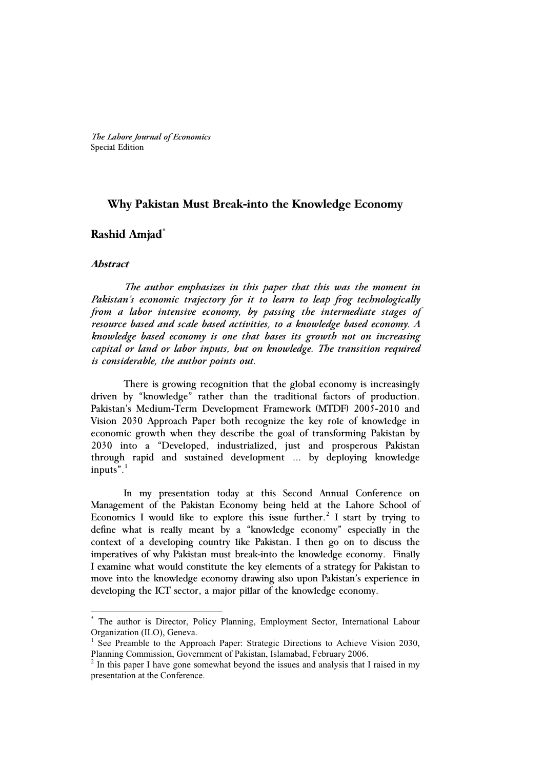# **Why Pakistan Must Break-into the Knowledge Economy**

# **Rashid Amjad\***

# **Abstract**

-

 *The author emphasizes in this paper that this was the moment in Pakistan's economic trajectory for it to learn to leap frog technologically from a labor intensive economy, by passing the intermediate stages of resource based and scale based activities, to a knowledge based economy. A knowledge based economy is one that bases its growth not on increasing capital or land or labor inputs, but on knowledge. The transition required is considerable, the author points out.* 

There is growing recognition that the global economy is increasingly driven by "knowledge" rather than the traditional factors of production. Pakistan's Medium-Term Development Framework (MTDF) 2005-2010 and Vision 2030 Approach Paper both recognize the key role of knowledge in economic growth when they describe the goal of transforming Pakistan by 2030 into a "Developed, industrialized, just and prosperous Pakistan through rapid and sustained development … by deploying knowledge inputs" $.1$ 

In my presentation today at this Second Annual Conference on Management of the Pakistan Economy being held at the Lahore School of Economics I would like to explore this issue further.<sup>2</sup> I start by trying to define what is really meant by a "knowledge economy" especially in the context of a developing country like Pakistan. I then go on to discuss the imperatives of why Pakistan must break-into the knowledge economy. Finally I examine what would constitute the key elements of a strategy for Pakistan to move into the knowledge economy drawing also upon Pakistan's experience in developing the ICT sector, a major pillar of the knowledge economy.

<sup>\*</sup> The author is Director, Policy Planning, Employment Sector, International Labour Organization (ILO), Geneva.

<sup>1</sup> See Preamble to the Approach Paper: Strategic Directions to Achieve Vision 2030, Planning Commission, Government of Pakistan, Islamabad, February 2006.

<sup>2</sup> In this paper I have gone somewhat beyond the issues and analysis that I raised in my presentation at the Conference.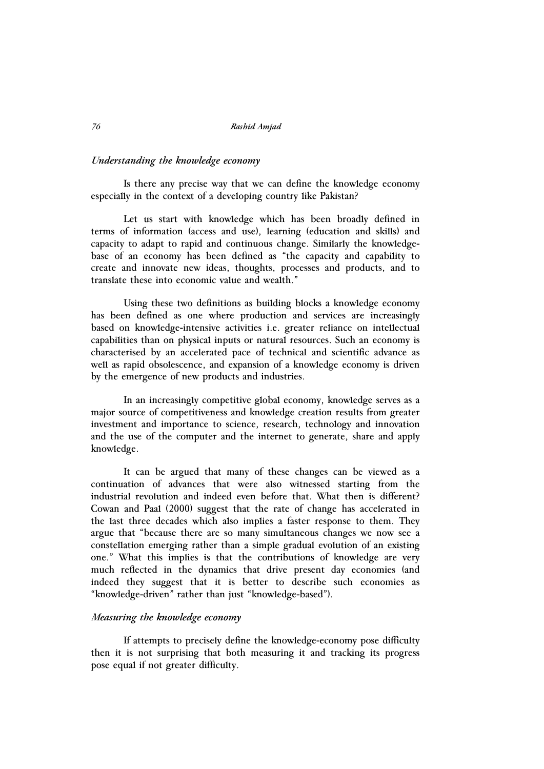### *Understanding the knowledge economy*

Is there any precise way that we can define the knowledge economy especially in the context of a developing country like Pakistan?

Let us start with knowledge which has been broadly defined in terms of information (access and use), learning (education and skills) and capacity to adapt to rapid and continuous change. Similarly the knowledgebase of an economy has been defined as "the capacity and capability to create and innovate new ideas, thoughts, processes and products, and to translate these into economic value and wealth."

Using these two definitions as building blocks a knowledge economy has been defined as one where production and services are increasingly based on knowledge-intensive activities i.e. greater reliance on intellectual capabilities than on physical inputs or natural resources. Such an economy is characterised by an accelerated pace of technical and scientific advance as well as rapid obsolescence, and expansion of a knowledge economy is driven by the emergence of new products and industries.

In an increasingly competitive global economy, knowledge serves as a major source of competitiveness and knowledge creation results from greater investment and importance to science, research, technology and innovation and the use of the computer and the internet to generate, share and apply knowledge.

It can be argued that many of these changes can be viewed as a continuation of advances that were also witnessed starting from the industrial revolution and indeed even before that. What then is different? Cowan and Paal (2000) suggest that the rate of change has accelerated in the last three decades which also implies a faster response to them. They argue that "because there are so many simultaneous changes we now see a constellation emerging rather than a simple gradual evolution of an existing one." What this implies is that the contributions of knowledge are very much reflected in the dynamics that drive present day economies (and indeed they suggest that it is better to describe such economies as "knowledge-driven" rather than just "knowledge-based").

## *Measuring the knowledge economy*

If attempts to precisely define the knowledge-economy pose difficulty then it is not surprising that both measuring it and tracking its progress pose equal if not greater difficulty.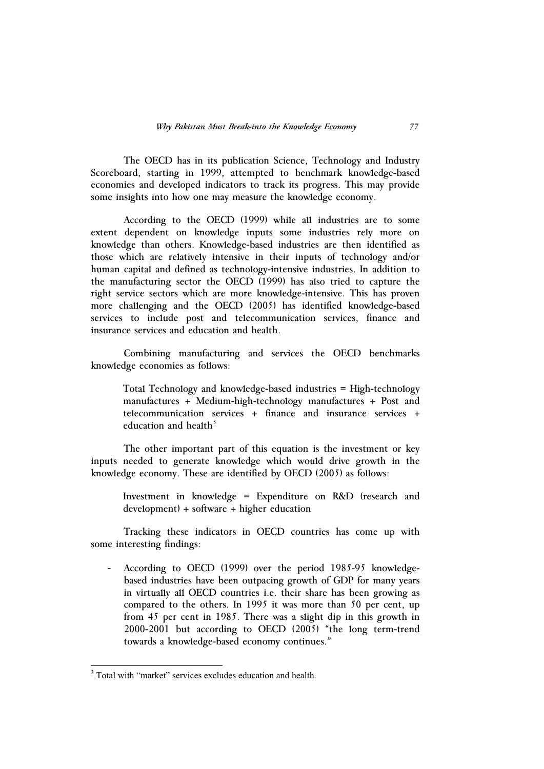The OECD has in its publication Science, Technology and Industry Scoreboard, starting in 1999, attempted to benchmark knowledge-based economies and developed indicators to track its progress. This may provide some insights into how one may measure the knowledge economy.

According to the OECD (1999) while all industries are to some extent dependent on knowledge inputs some industries rely more on knowledge than others. Knowledge-based industries are then identified as those which are relatively intensive in their inputs of technology and/or human capital and defined as technology-intensive industries. In addition to the manufacturing sector the OECD (1999) has also tried to capture the right service sectors which are more knowledge-intensive. This has proven more challenging and the OECD (2005) has identified knowledge-based services to include post and telecommunication services, finance and insurance services and education and health.

Combining manufacturing and services the OECD benchmarks knowledge economies as follows:

Total Technology and knowledge-based industries = High-technology manufactures + Medium-high-technology manufactures + Post and telecommunication services + finance and insurance services + education and health $3$ 

The other important part of this equation is the investment or key inputs needed to generate knowledge which would drive growth in the knowledge economy. These are identified by OECD (2005) as follows:

Investment in knowledge = Expenditure on R&D (research and development) + software + higher education

Tracking these indicators in OECD countries has come up with some interesting findings:

According to OECD (1999) over the period 1985-95 knowledgebased industries have been outpacing growth of GDP for many years in virtually all OECD countries i.e. their share has been growing as compared to the others. In 1995 it was more than 50 per cent, up from 45 per cent in 1985. There was a slight dip in this growth in 2000-2001 but according to OECD (2005) "the long term-trend towards a knowledge-based economy continues."

-

<sup>&</sup>lt;sup>3</sup> Total with "market" services excludes education and health.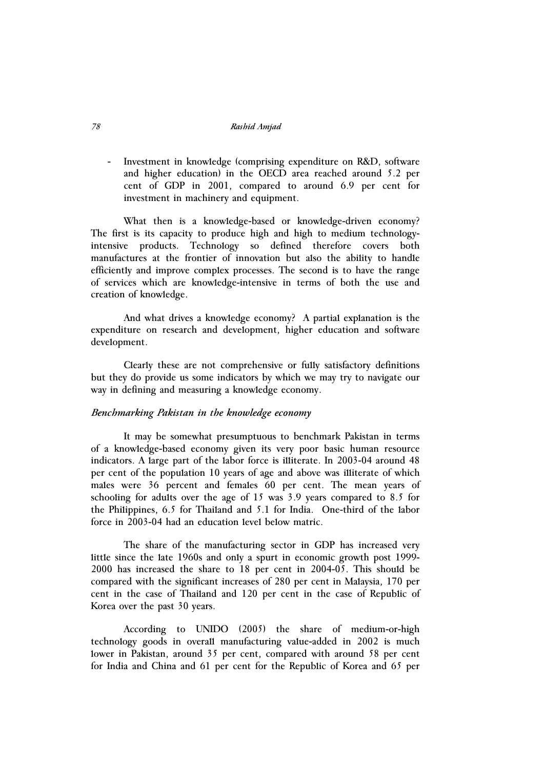- Investment in knowledge (comprising expenditure on R&D, software and higher education) in the OECD area reached around 5.2 per cent of GDP in 2001, compared to around 6.9 per cent for investment in machinery and equipment.

What then is a knowledge-based or knowledge-driven economy? The first is its capacity to produce high and high to medium technologyintensive products. Technology so defined therefore covers both manufactures at the frontier of innovation but also the ability to handle efficiently and improve complex processes. The second is to have the range of services which are knowledge-intensive in terms of both the use and creation of knowledge.

And what drives a knowledge economy? A partial explanation is the expenditure on research and development, higher education and software development.

Clearly these are not comprehensive or fully satisfactory definitions but they do provide us some indicators by which we may try to navigate our way in defining and measuring a knowledge economy.

### *Benchmarking Pakistan in the knowledge economy*

It may be somewhat presumptuous to benchmark Pakistan in terms of a knowledge-based economy given its very poor basic human resource indicators. A large part of the labor force is illiterate. In 2003-04 around 48 per cent of the population 10 years of age and above was illiterate of which males were 36 percent and females 60 per cent. The mean years of schooling for adults over the age of 15 was 3.9 years compared to 8.5 for the Philippines, 6.5 for Thailand and 5.1 for India. One-third of the labor force in 2003-04 had an education level below matric.

The share of the manufacturing sector in GDP has increased very little since the late 1960s and only a spurt in economic growth post 1999- 2000 has increased the share to 18 per cent in 2004-05. This should be compared with the significant increases of 280 per cent in Malaysia, 170 per cent in the case of Thailand and 120 per cent in the case of Republic of Korea over the past 30 years.

According to UNIDO (2005) the share of medium-or-high technology goods in overall manufacturing value-added in 2002 is much lower in Pakistan, around 35 per cent, compared with around 58 per cent for India and China and 61 per cent for the Republic of Korea and 65 per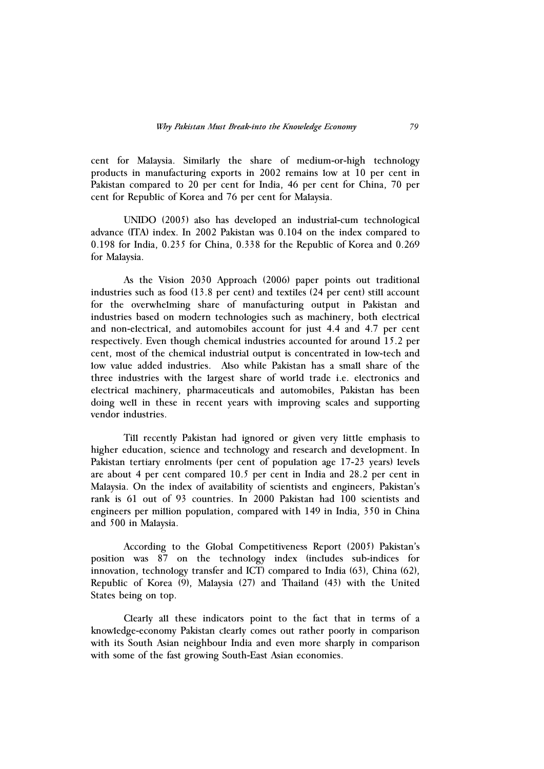cent for Malaysia. Similarly the share of medium-or-high technology products in manufacturing exports in 2002 remains low at 10 per cent in Pakistan compared to 20 per cent for India, 46 per cent for China, 70 per cent for Republic of Korea and 76 per cent for Malaysia.

UNIDO (2005) also has developed an industrial-cum technological advance (ITA) index. In 2002 Pakistan was 0.104 on the index compared to 0.198 for India, 0.235 for China, 0.338 for the Republic of Korea and 0.269 for Malaysia.

As the Vision 2030 Approach (2006) paper points out traditional industries such as food (13.8 per cent) and textiles (24 per cent) still account for the overwhelming share of manufacturing output in Pakistan and industries based on modern technologies such as machinery, both electrical and non-electrical, and automobiles account for just 4.4 and 4.7 per cent respectively. Even though chemical industries accounted for around 15.2 per cent, most of the chemical industrial output is concentrated in low-tech and low value added industries. Also while Pakistan has a small share of the three industries with the largest share of world trade i.e. electronics and electrical machinery, pharmaceuticals and automobiles, Pakistan has been doing well in these in recent years with improving scales and supporting vendor industries.

Till recently Pakistan had ignored or given very little emphasis to higher education, science and technology and research and development. In Pakistan tertiary enrolments (per cent of population age 17-23 years) levels are about 4 per cent compared 10.5 per cent in India and 28.2 per cent in Malaysia. On the index of availability of scientists and engineers, Pakistan's rank is 61 out of 93 countries. In 2000 Pakistan had 100 scientists and engineers per million population, compared with 149 in India, 350 in China and 500 in Malaysia.

According to the Global Competitiveness Report (2005) Pakistan's position was 87 on the technology index (includes sub-indices for innovation, technology transfer and ICT) compared to India (63), China (62), Republic of Korea (9), Malaysia (27) and Thailand (43) with the United States being on top.

Clearly all these indicators point to the fact that in terms of a knowledge-economy Pakistan clearly comes out rather poorly in comparison with its South Asian neighbour India and even more sharply in comparison with some of the fast growing South-East Asian economies.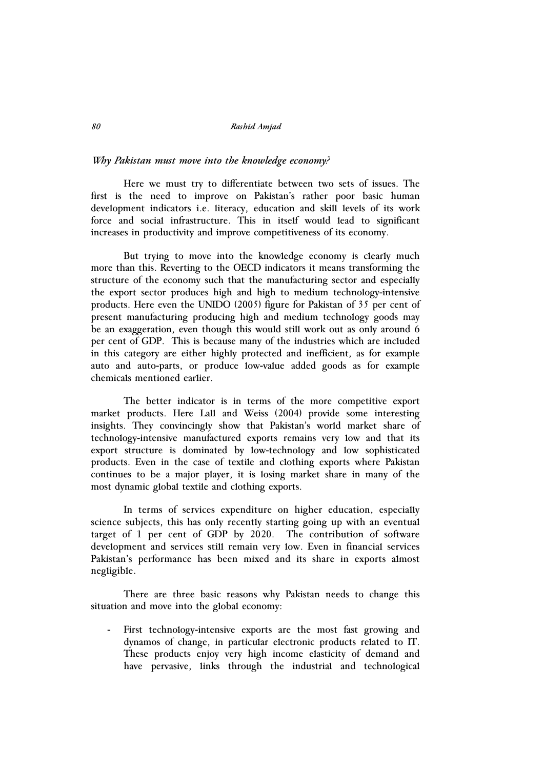## *Why Pakistan must move into the knowledge economy?*

Here we must try to differentiate between two sets of issues. The first is the need to improve on Pakistan's rather poor basic human development indicators i.e. literacy, education and skill levels of its work force and social infrastructure. This in itself would lead to significant increases in productivity and improve competitiveness of its economy.

But trying to move into the knowledge economy is clearly much more than this. Reverting to the OECD indicators it means transforming the structure of the economy such that the manufacturing sector and especially the export sector produces high and high to medium technology-intensive products. Here even the UNIDO (2005) figure for Pakistan of 35 per cent of present manufacturing producing high and medium technology goods may be an exaggeration, even though this would still work out as only around 6 per cent of GDP. This is because many of the industries which are included in this category are either highly protected and inefficient, as for example auto and auto-parts, or produce low-value added goods as for example chemicals mentioned earlier.

The better indicator is in terms of the more competitive export market products. Here Lall and Weiss (2004) provide some interesting insights. They convincingly show that Pakistan's world market share of technology-intensive manufactured exports remains very low and that its export structure is dominated by low-technology and low sophisticated products. Even in the case of textile and clothing exports where Pakistan continues to be a major player, it is losing market share in many of the most dynamic global textile and clothing exports.

In terms of services expenditure on higher education, especially science subjects, this has only recently starting going up with an eventual target of 1 per cent of GDP by 2020. The contribution of software development and services still remain very low. Even in financial services Pakistan's performance has been mixed and its share in exports almost negligible.

There are three basic reasons why Pakistan needs to change this situation and move into the global economy:

First technology-intensive exports are the most fast growing and dynamos of change, in particular electronic products related to IT. These products enjoy very high income elasticity of demand and have pervasive, links through the industrial and technological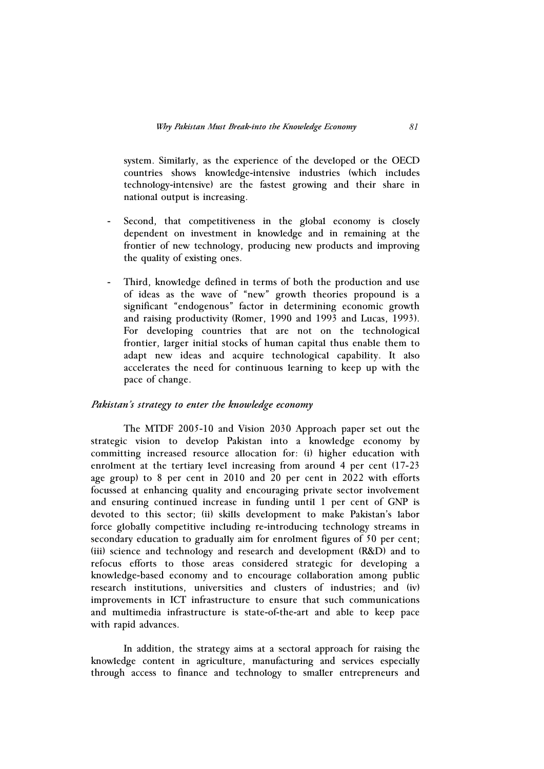system. Similarly, as the experience of the developed or the OECD countries shows knowledge-intensive industries (which includes technology-intensive) are the fastest growing and their share in national output is increasing.

- Second, that competitiveness in the global economy is closely dependent on investment in knowledge and in remaining at the frontier of new technology, producing new products and improving the quality of existing ones.
- Third, knowledge defined in terms of both the production and use of ideas as the wave of "new" growth theories propound is a significant "endogenous" factor in determining economic growth and raising productivity (Romer, 1990 and 1993 and Lucas, 1993). For developing countries that are not on the technological frontier, larger initial stocks of human capital thus enable them to adapt new ideas and acquire technological capability. It also accelerates the need for continuous learning to keep up with the pace of change.

### *Pakistan's strategy to enter the knowledge economy*

The MTDF 2005-10 and Vision 2030 Approach paper set out the strategic vision to develop Pakistan into a knowledge economy by committing increased resource allocation for: (i) higher education with enrolment at the tertiary level increasing from around 4 per cent (17-23 age group) to 8 per cent in 2010 and 20 per cent in 2022 with efforts focussed at enhancing quality and encouraging private sector involvement and ensuring continued increase in funding until 1 per cent of GNP is devoted to this sector; (ii) skills development to make Pakistan's labor force globally competitive including re-introducing technology streams in secondary education to gradually aim for enrolment figures of 50 per cent; (iii) science and technology and research and development (R&D) and to refocus efforts to those areas considered strategic for developing a knowledge-based economy and to encourage collaboration among public research institutions, universities and clusters of industries; and (iv) improvements in ICT infrastructure to ensure that such communications and multimedia infrastructure is state-of-the-art and able to keep pace with rapid advances.

In addition, the strategy aims at a sectoral approach for raising the knowledge content in agriculture, manufacturing and services especially through access to finance and technology to smaller entrepreneurs and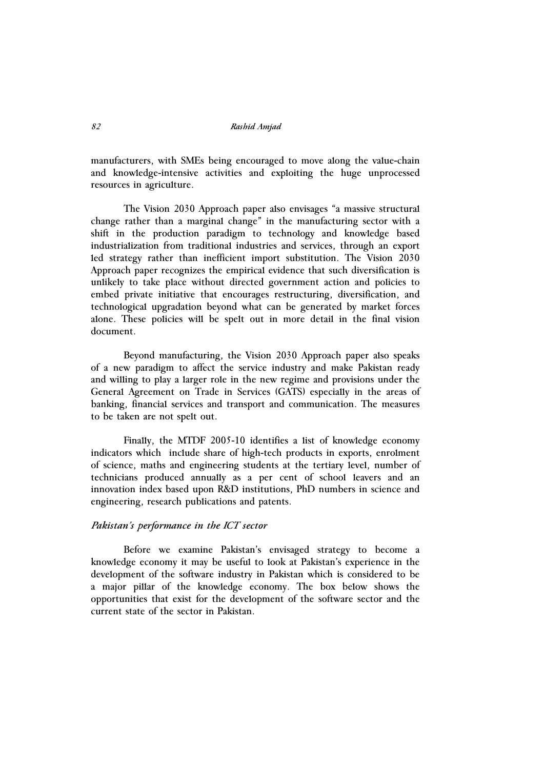manufacturers, with SMEs being encouraged to move along the value-chain and knowledge-intensive activities and exploiting the huge unprocessed resources in agriculture.

The Vision 2030 Approach paper also envisages "a massive structural change rather than a marginal change" in the manufacturing sector with a shift in the production paradigm to technology and knowledge based industrialization from traditional industries and services, through an export led strategy rather than inefficient import substitution. The Vision 2030 Approach paper recognizes the empirical evidence that such diversification is unlikely to take place without directed government action and policies to embed private initiative that encourages restructuring, diversification, and technological upgradation beyond what can be generated by market forces alone. These policies will be spelt out in more detail in the final vision document.

Beyond manufacturing, the Vision 2030 Approach paper also speaks of a new paradigm to affect the service industry and make Pakistan ready and willing to play a larger role in the new regime and provisions under the General Agreement on Trade in Services (GATS) especially in the areas of banking, financial services and transport and communication. The measures to be taken are not spelt out.

Finally, the MTDF 2005-10 identifies a list of knowledge economy indicators which include share of high-tech products in exports, enrolment of science, maths and engineering students at the tertiary level, number of technicians produced annually as a per cent of school leavers and an innovation index based upon R&D institutions, PhD numbers in science and engineering, research publications and patents.

# *Pakistan's performance in the ICT sector*

Before we examine Pakistan's envisaged strategy to become a knowledge economy it may be useful to look at Pakistan's experience in the development of the software industry in Pakistan which is considered to be a major pillar of the knowledge economy. The box below shows the opportunities that exist for the development of the software sector and the current state of the sector in Pakistan.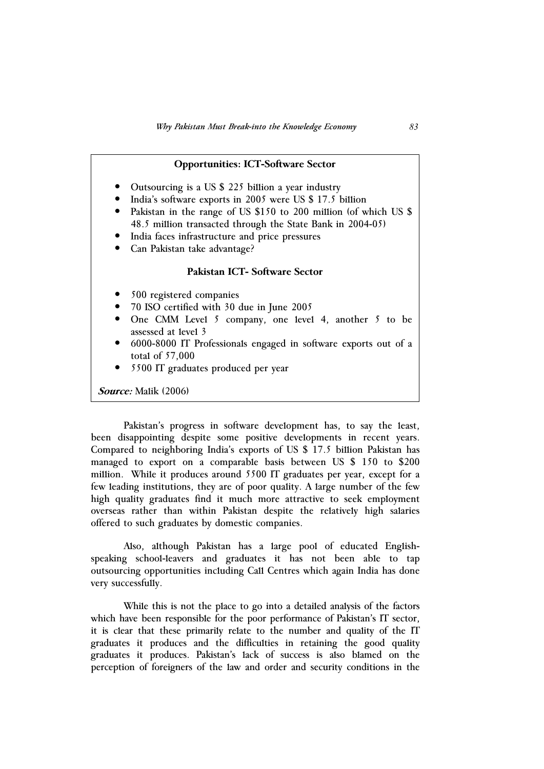| <b>Opportunities: ICT-Software Sector</b>                                                                                                                                                                                                                                                                                            |
|--------------------------------------------------------------------------------------------------------------------------------------------------------------------------------------------------------------------------------------------------------------------------------------------------------------------------------------|
| Outsourcing is a US \$ 225 billion a year industry<br>India's software exports in 2005 were US \$ 17.5 billion<br>Pakistan in the range of US \$150 to 200 million (of which US \$<br>48.5 million transacted through the State Bank in 2004-05)<br>• India faces infrastructure and price pressures<br>Can Pakistan take advantage? |
| Pakistan ICT- Software Sector                                                                                                                                                                                                                                                                                                        |
| 500 registered companies<br>• 70 ISO certified with 30 due in June 2005<br>One CMM Level 5 company, one level 4, another 5 to be<br>assessed at level 3<br>6000-8000 IT Professionals engaged in software exports out of a<br>total of 57,000<br>5500 IT graduates produced per year                                                 |
| <b>Source:</b> Malik (2006)                                                                                                                                                                                                                                                                                                          |

Pakistan's progress in software development has, to say the least, been disappointing despite some positive developments in recent years. Compared to neighboring India's exports of US \$ 17.5 billion Pakistan has managed to export on a comparable basis between US \$ 150 to \$200 million. While it produces around 5500 IT graduates per year, except for a few leading institutions, they are of poor quality. A large number of the few high quality graduates find it much more attractive to seek employment overseas rather than within Pakistan despite the relatively high salaries offered to such graduates by domestic companies.

Also, although Pakistan has a large pool of educated Englishspeaking school-leavers and graduates it has not been able to tap outsourcing opportunities including Call Centres which again India has done very successfully.

While this is not the place to go into a detailed analysis of the factors which have been responsible for the poor performance of Pakistan's IT sector, it is clear that these primarily relate to the number and quality of the IT graduates it produces and the difficulties in retaining the good quality graduates it produces. Pakistan's lack of success is also blamed on the perception of foreigners of the law and order and security conditions in the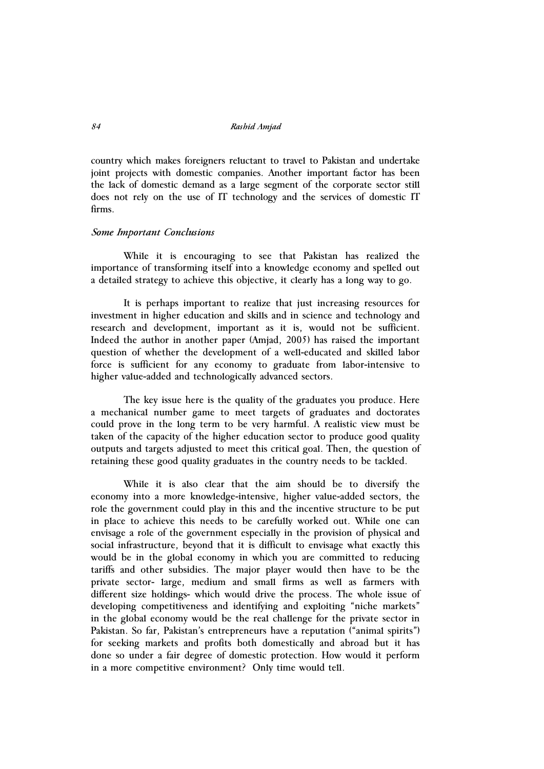country which makes foreigners reluctant to travel to Pakistan and undertake joint projects with domestic companies. Another important factor has been the lack of domestic demand as a large segment of the corporate sector still does not rely on the use of IT technology and the services of domestic IT firms.

### *Some Important Conclusions*

While it is encouraging to see that Pakistan has realized the importance of transforming itself into a knowledge economy and spelled out a detailed strategy to achieve this objective, it clearly has a long way to go.

It is perhaps important to realize that just increasing resources for investment in higher education and skills and in science and technology and research and development, important as it is, would not be sufficient. Indeed the author in another paper (Amjad, 2005) has raised the important question of whether the development of a well-educated and skilled labor force is sufficient for any economy to graduate from labor-intensive to higher value-added and technologically advanced sectors.

The key issue here is the quality of the graduates you produce. Here a mechanical number game to meet targets of graduates and doctorates could prove in the long term to be very harmful. A realistic view must be taken of the capacity of the higher education sector to produce good quality outputs and targets adjusted to meet this critical goal. Then, the question of retaining these good quality graduates in the country needs to be tackled.

While it is also clear that the aim should be to diversify the economy into a more knowledge-intensive, higher value-added sectors, the role the government could play in this and the incentive structure to be put in place to achieve this needs to be carefully worked out. While one can envisage a role of the government especially in the provision of physical and social infrastructure, beyond that it is difficult to envisage what exactly this would be in the global economy in which you are committed to reducing tariffs and other subsidies. The major player would then have to be the private sector- large, medium and small firms as well as farmers with different size holdings- which would drive the process. The whole issue of developing competitiveness and identifying and exploiting "niche markets" in the global economy would be the real challenge for the private sector in Pakistan. So far, Pakistan's entrepreneurs have a reputation ("animal spirits") for seeking markets and profits both domestically and abroad but it has done so under a fair degree of domestic protection. How would it perform in a more competitive environment? Only time would tell.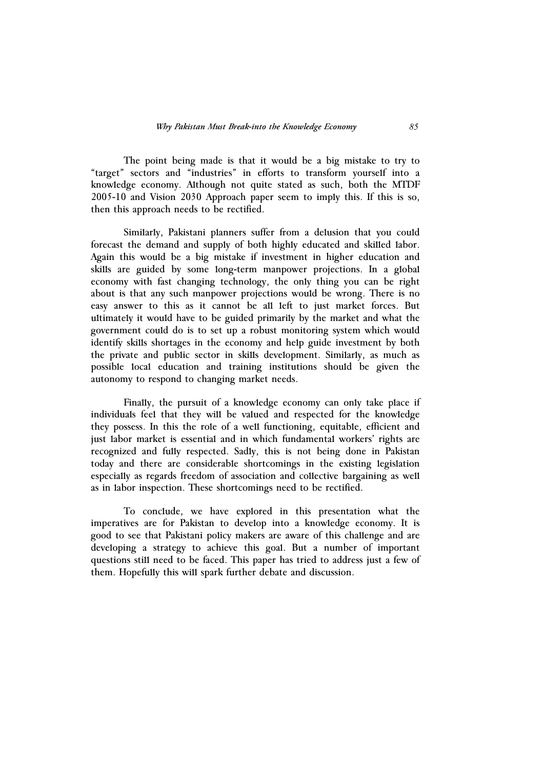The point being made is that it would be a big mistake to try to "target" sectors and "industries" in efforts to transform yourself into a knowledge economy. Although not quite stated as such, both the MTDF 2005-10 and Vision 2030 Approach paper seem to imply this. If this is so, then this approach needs to be rectified.

Similarly, Pakistani planners suffer from a delusion that you could forecast the demand and supply of both highly educated and skilled labor. Again this would be a big mistake if investment in higher education and skills are guided by some long-term manpower projections. In a global economy with fast changing technology, the only thing you can be right about is that any such manpower projections would be wrong. There is no easy answer to this as it cannot be all left to just market forces. But ultimately it would have to be guided primarily by the market and what the government could do is to set up a robust monitoring system which would identify skills shortages in the economy and help guide investment by both the private and public sector in skills development. Similarly, as much as possible local education and training institutions should be given the autonomy to respond to changing market needs.

Finally, the pursuit of a knowledge economy can only take place if individuals feel that they will be valued and respected for the knowledge they possess. In this the role of a well functioning, equitable, efficient and just labor market is essential and in which fundamental workers' rights are recognized and fully respected. Sadly, this is not being done in Pakistan today and there are considerable shortcomings in the existing legislation especially as regards freedom of association and collective bargaining as well as in labor inspection. These shortcomings need to be rectified.

To conclude, we have explored in this presentation what the imperatives are for Pakistan to develop into a knowledge economy. It is good to see that Pakistani policy makers are aware of this challenge and are developing a strategy to achieve this goal. But a number of important questions still need to be faced. This paper has tried to address just a few of them. Hopefully this will spark further debate and discussion.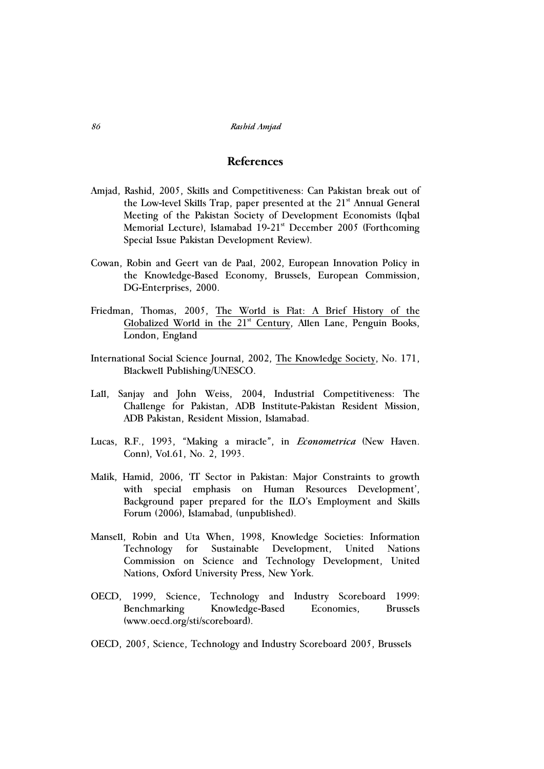# **References**

- Amjad, Rashid, 2005, Skills and Competitiveness: Can Pakistan break out of the Low-level Skills Trap, paper presented at the 21<sup>st</sup> Annual General Meeting of the Pakistan Society of Development Economists (Iqbal Memorial Lecture), Islamabad 19-21<sup>st</sup> December 2005 (Forthcoming Special Issue Pakistan Development Review).
- Cowan, Robin and Geert van de Paal, 2002, European Innovation Policy in the Knowledge-Based Economy, Brussels, European Commission, DG-Enterprises, 2000.
- Friedman, Thomas, 2005, The World is Flat: A Brief History of the Globalized World in the 21<sup>st</sup> Century, Allen Lane, Penguin Books, London, England
- International Social Science Journal, 2002, The Knowledge Society, No. 171, Blackwell Publishing/UNESCO.
- Lall, Sanjay and John Weiss, 2004, Industrial Competitiveness: The Challenge for Pakistan, ADB Institute-Pakistan Resident Mission, ADB Pakistan, Resident Mission, Islamabad.
- Lucas, R.F., 1993, "Making a miracle", in *Econometrica* (New Haven. Conn), Vol.61, No. 2, 1993.
- Malik, Hamid, 2006, 'IT Sector in Pakistan: Major Constraints to growth with special emphasis on Human Resources Development', Background paper prepared for the ILO's Employment and Skills Forum (2006), Islamabad, (unpublished).
- Mansell, Robin and Uta When, 1998, Knowledge Societies: Information Technology for Sustainable Development, United Nations Commission on Science and Technology Development, United Nations, Oxford University Press, New York.
- OECD, 1999, Science, Technology and Industry Scoreboard 1999: Benchmarking Knowledge-Based Economies, Brussels (www.oecd.org/sti/scoreboard).
- OECD, 2005, Science, Technology and Industry Scoreboard 2005, Brussels